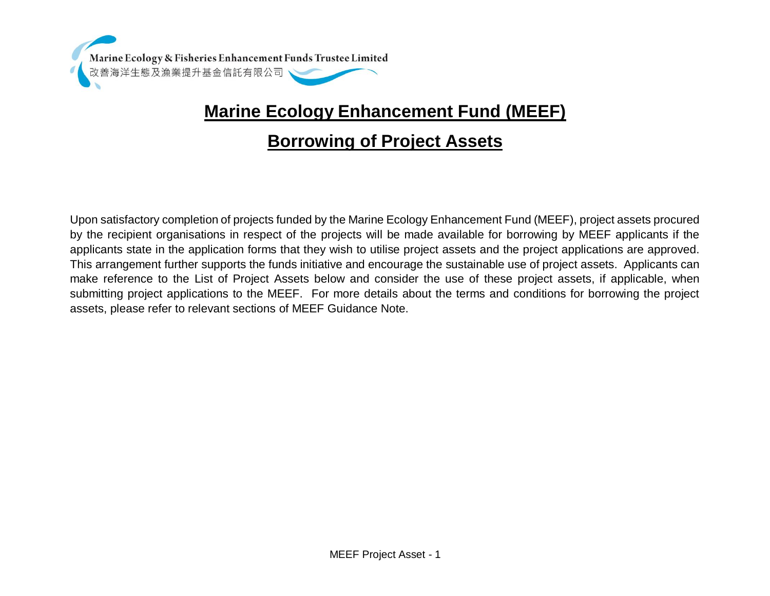

## **Marine Ecology Enhancement Fund (MEEF)**

## **Borrowing of Project Assets**

Upon satisfactory completion of projects funded by the Marine Ecology Enhancement Fund (MEEF), project assets procured by the recipient organisations in respect of the projects will be made available for borrowing by MEEF applicants if the applicants state in the application forms that they wish to utilise project assets and the project applications are approved. This arrangement further supports the funds initiative and encourage the sustainable use of project assets. Applicants can make reference to the List of Project Assets below and consider the use of these project assets, if applicable, when submitting project applications to the MEEF. For more details about the terms and conditions for borrowing the project assets, please refer to relevant sections of MEEF Guidance Note.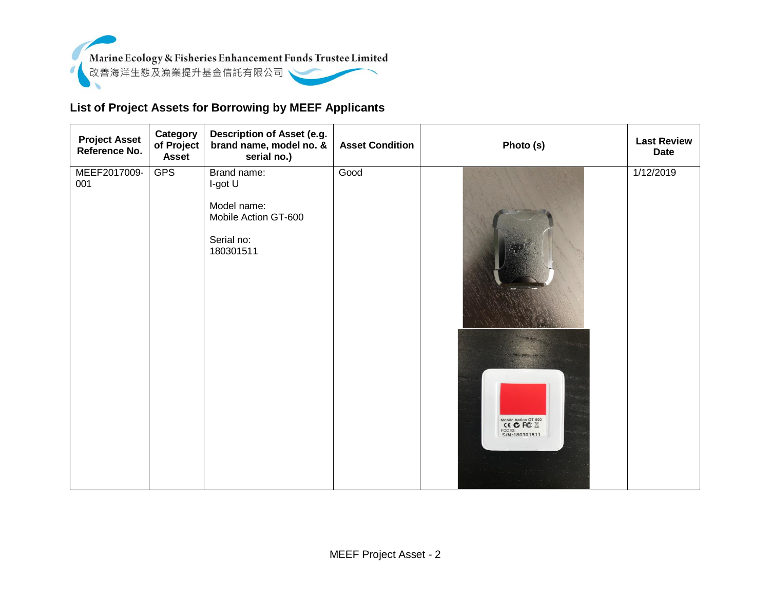

## **List of Project Assets for Borrowing by MEEF Applicants**

| <b>Project Asset</b><br>Reference No. | Category<br>of Project<br><b>Asset</b> | Description of Asset (e.g.<br>brand name, model no. &<br>serial no.)                     | <b>Asset Condition</b> | Photo (s)                                      | <b>Last Review</b><br><b>Date</b> |
|---------------------------------------|----------------------------------------|------------------------------------------------------------------------------------------|------------------------|------------------------------------------------|-----------------------------------|
| MEEF2017009-<br>001                   | <b>GPS</b>                             | Brand name:<br>I-got U<br>Model name:<br>Mobile Action GT-600<br>Serial no:<br>180301511 | Good                   | Mobile Action GT-600<br>CC D:<br>S/N:180301511 | 1/12/2019                         |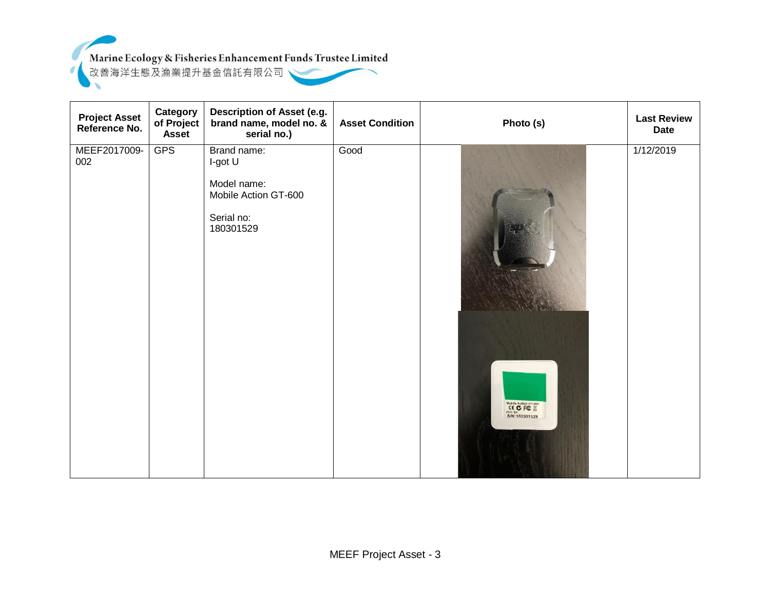

| <b>Project Asset</b><br>Reference No. | Category<br>of Project<br><b>Asset</b> | Description of Asset (e.g.<br>brand name, model no. &<br>serial no.)                     | <b>Asset Condition</b> | Photo (s)                                                    | <b>Last Review</b><br><b>Date</b> |
|---------------------------------------|----------------------------------------|------------------------------------------------------------------------------------------|------------------------|--------------------------------------------------------------|-----------------------------------|
| MEEF2017009-<br>002                   | <b>GPS</b>                             | Brand name:<br>I-got U<br>Model name:<br>Mobile Action GT-600<br>Serial no:<br>180301529 | Good                   | Mobile Action GT-600<br>CEC FC X<br>FCC ID:<br>S/N:180301529 | 1/12/2019                         |
|                                       |                                        |                                                                                          |                        |                                                              |                                   |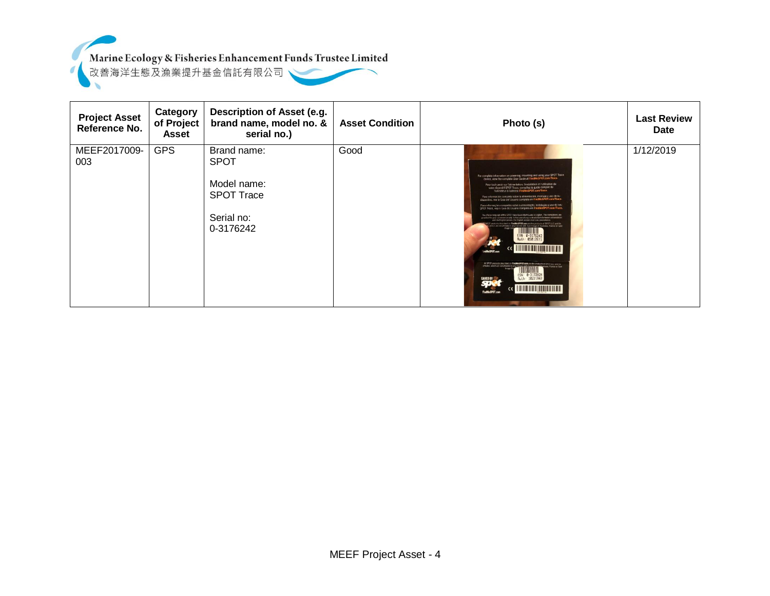



| <b>Project Asset</b><br>Reference No. | Category<br>of Project<br>Asset | Description of Asset (e.g.<br>brand name, model no. &<br>serial no.)                      | <b>Asset Condition</b> | Photo (s)                                                                                                                                                                                                                                                                                                                                                                                                                                                                                                                                                                                                                                                                                                                                                                                                                                                                                                                                                                                                                                                                                                                                                                                                       | <b>Last Review</b><br><b>Date</b> |
|---------------------------------------|---------------------------------|-------------------------------------------------------------------------------------------|------------------------|-----------------------------------------------------------------------------------------------------------------------------------------------------------------------------------------------------------------------------------------------------------------------------------------------------------------------------------------------------------------------------------------------------------------------------------------------------------------------------------------------------------------------------------------------------------------------------------------------------------------------------------------------------------------------------------------------------------------------------------------------------------------------------------------------------------------------------------------------------------------------------------------------------------------------------------------------------------------------------------------------------------------------------------------------------------------------------------------------------------------------------------------------------------------------------------------------------------------|-----------------------------------|
| MEEF2017009-<br>003                   | <b>GPS</b>                      | Brand name:<br><b>SPOT</b><br>Model name:<br><b>SPOT Trace</b><br>Serial no:<br>0-3176242 | Good                   | For complete information on powering, mounting and using your SPOT Trace<br>device, ylew the complete User Guide at FindMeSPOT.com/Trace.<br>Pour tout savoir sur l'alimentation, l'installation et l'utilisation de<br>votre dispositif SPOT Trace, consultez le guide complet de<br>Para información completa sobre la alimentación, montaje y uso de su<br>dispositivo, vea la Guia del Usuano completa en FindMeSPOT.com/Trace.<br>Para informações completas sobre a alimentação, instalação e uso do seu<br>SPOT Trace, veja o Guia do Usuário completo em FindMeSPOT.com/Trace.<br>The official tenguage of this SPOT Trace Quark Start Quide is English. The translations are<br>ded for your convenience only. In the case of any contradictions between a translation<br>and the English venison, the English vension shall take proc-<br>where reserved on FindMcSPOT.com are the products of SPOT LLC and its<br>Elizabeth in any manner last church financial Thursdale, Praince or Spot<br>ESN: 0-3176242<br>Ruth: 05012571<br><u> Liberal Barbara (</u><br>At \$POT products described on FindMe5POT,com are the products of service use ansien-<br>ESN: 0-3172924<br>SAVED BY<br>Buth: 18221563 | 1/12/2019                         |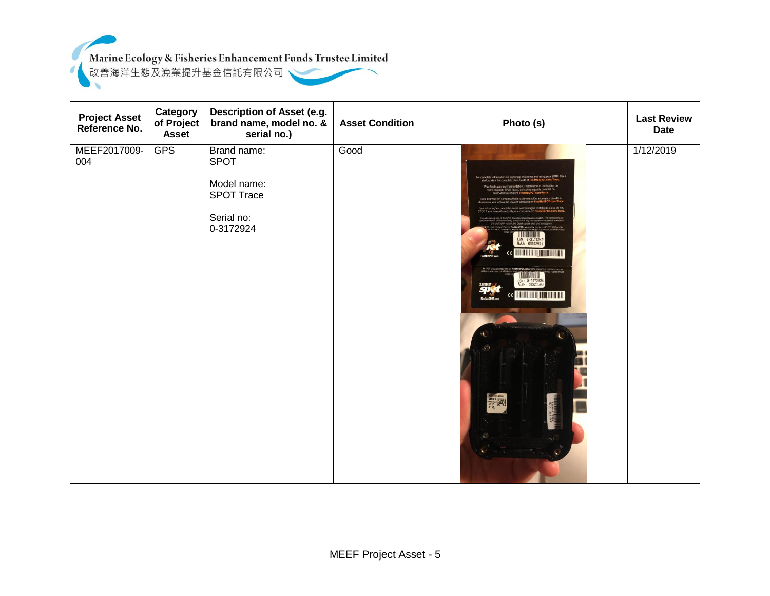

| <b>Project Asset</b><br>Reference No. | Category<br>of Project<br><b>Asset</b> | Description of Asset (e.g.<br>brand name, model no. &<br>serial no.)               | <b>Asset Condition</b> | Photo (s)                                                                                                                                                                                                                                                                                                                                                     | <b>Last Review</b><br><b>Date</b> |
|---------------------------------------|----------------------------------------|------------------------------------------------------------------------------------|------------------------|---------------------------------------------------------------------------------------------------------------------------------------------------------------------------------------------------------------------------------------------------------------------------------------------------------------------------------------------------------------|-----------------------------------|
| MEEF2017009-<br>004                   | <b>GPS</b>                             | Brand name:<br><b>SPOT</b><br>Model name:<br>SPOT Trace<br>Serial no:<br>0-3172924 | Good                   | or complete information on powering, mounting and using your SPOT Trace<br>re, view the complete User Guide at I<br>raur fined sawcer seat Talk<br>SPOT Trace, consultez le guide con<br>tear in l'indicrissio.<br>ESN: 0-3176242<br>Ruth: 05012571<br><b>THE REAL PROPERTY</b><br>ESN: 0-3172924<br>Ruth: 10221563<br>WED BY<br>$ce$ <b>THEFT TELEVISION</b> | 1/12/2019                         |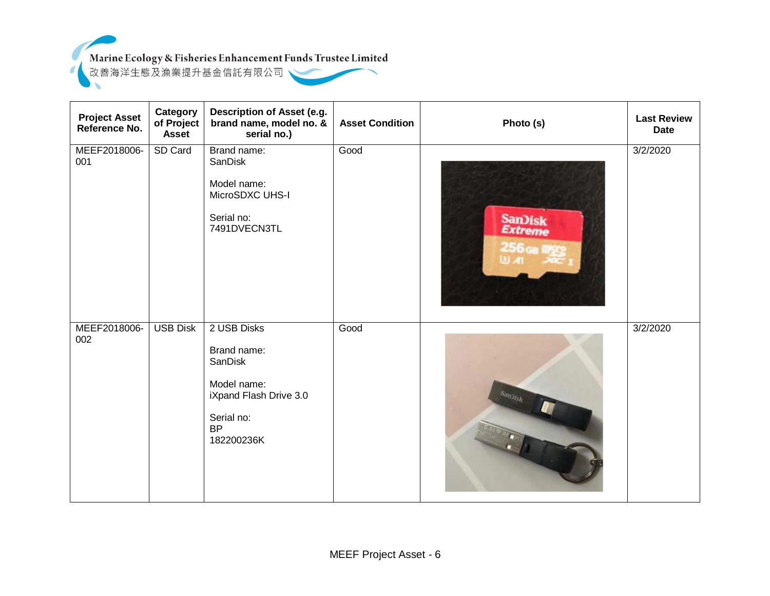

| <b>Project Asset</b><br>Reference No. | Category<br>of Project<br><b>Asset</b> | Description of Asset (e.g.<br>brand name, model no. &<br>serial no.)                                                    | <b>Asset Condition</b> | Photo (s)                        | <b>Last Review</b><br><b>Date</b> |
|---------------------------------------|----------------------------------------|-------------------------------------------------------------------------------------------------------------------------|------------------------|----------------------------------|-----------------------------------|
| MEEF2018006-<br>001                   | SD Card                                | Brand name:<br>SanDisk<br>Model name:<br>MicroSDXC UHS-I<br>Serial no:<br>7491DVECN3TL                                  | Good                   | San)isk<br>Extreme<br>256 GB M23 | 3/2/2020                          |
| MEEF2018006-<br>002                   | <b>USB Disk</b>                        | 2 USB Disks<br>Brand name:<br>SanDisk<br>Model name:<br>iXpand Flash Drive 3.0<br>Serial no:<br><b>BP</b><br>182200236K | Good                   | Sandfsk                          | 3/2/2020                          |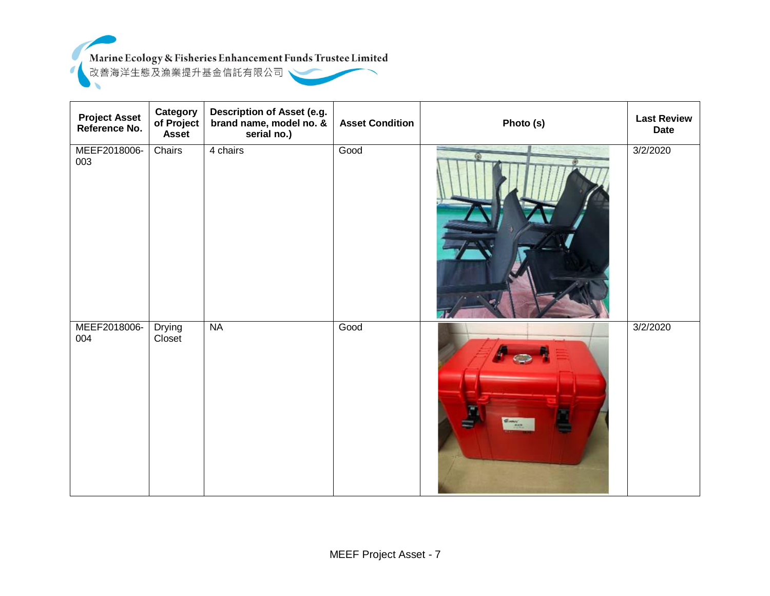Marine Ecology & Fisheries Enhancement Funds Trustee Limited



| <b>Project Asset</b><br>Reference No. | Category<br>of Project<br><b>Asset</b> | Description of Asset (e.g.<br>brand name, model no. &<br>serial no.) | <b>Asset Condition</b> | Photo (s) | <b>Last Review</b><br><b>Date</b> |
|---------------------------------------|----------------------------------------|----------------------------------------------------------------------|------------------------|-----------|-----------------------------------|
| MEEF2018006-<br>003                   | Chairs                                 | 4 chairs                                                             | Good                   |           | 3/2/2020                          |
| MEEF2018006-<br>004                   | <b>Drying</b><br>Closet                | <b>NA</b>                                                            | Good                   |           | 3/2/2020                          |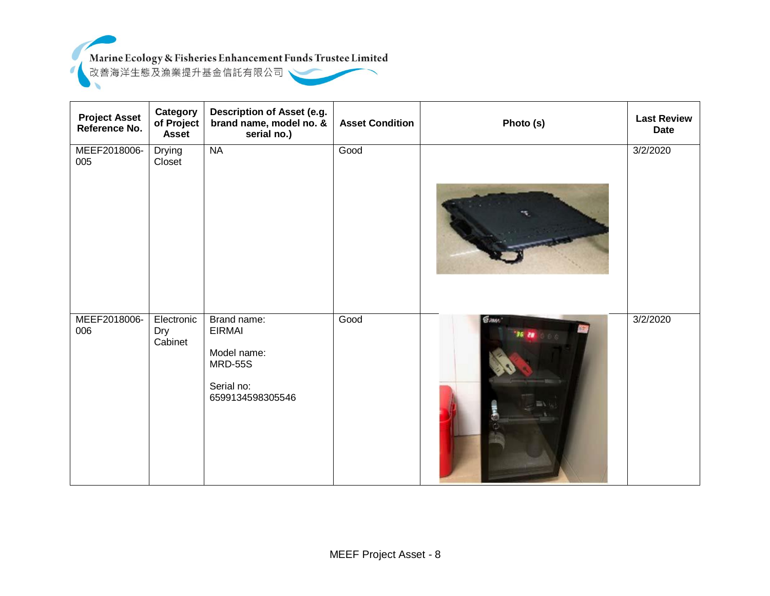

 $\sigma$ 

| <b>Project Asset</b><br>Reference No. | Category<br>of Project<br><b>Asset</b> | Description of Asset (e.g.<br>brand name, model no. &<br>serial no.)                            | <b>Asset Condition</b> | Photo (s)            | <b>Last Review</b><br><b>Date</b> |
|---------------------------------------|----------------------------------------|-------------------------------------------------------------------------------------------------|------------------------|----------------------|-----------------------------------|
| MEEF2018006-<br>005                   | Drying<br>Closet                       | NA                                                                                              | Good                   |                      | 3/2/2020                          |
| MEEF2018006-<br>006                   | Electronic<br>Dry<br>Cabinet           | Brand name:<br><b>EIRMAI</b><br>Model name:<br><b>MRD-55S</b><br>Serial no:<br>6599134598305546 | Good                   | <b>E</b> mm<br>36 28 | 3/2/2020                          |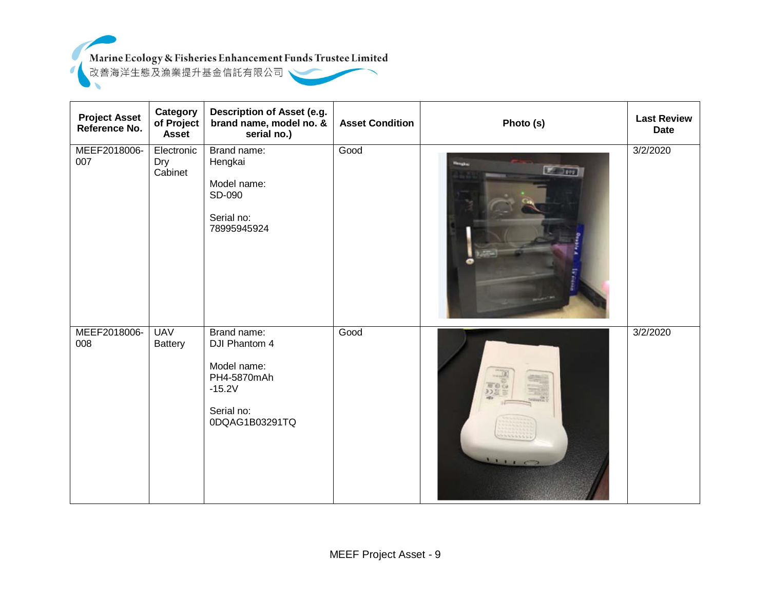

| <b>Project Asset</b><br>Reference No. | <b>Category</b><br>of Project<br><b>Asset</b> | Description of Asset (e.g.<br>brand name, model no. &<br>serial no.)                                   | <b>Asset Condition</b> | Photo (s)                                                                                            | <b>Last Review</b><br><b>Date</b> |
|---------------------------------------|-----------------------------------------------|--------------------------------------------------------------------------------------------------------|------------------------|------------------------------------------------------------------------------------------------------|-----------------------------------|
| MEEF2018006-<br>007                   | Electronic<br>Dry<br>Cabinet                  | Brand name:<br>Hengkai<br>Model name:<br>SD-090<br>Serial no:<br>78995945924                           | Good                   | Lenn                                                                                                 | 3/2/2020                          |
| MEEF2018006-<br>008                   | <b>UAV</b><br><b>Battery</b>                  | Brand name:<br>DJI Phantom 4<br>Model name:<br>PH4-5870mAh<br>$-15.2V$<br>Serial no:<br>0DQAG1B03291TQ | Good                   | HE O C<br>9つ記<br>$\frac{1}{2}$ $\frac{1}{2}$ $\frac{1}{2}$ $\frac{1}{2}$ $\frac{1}{2}$ $\frac{1}{2}$ | 3/2/2020                          |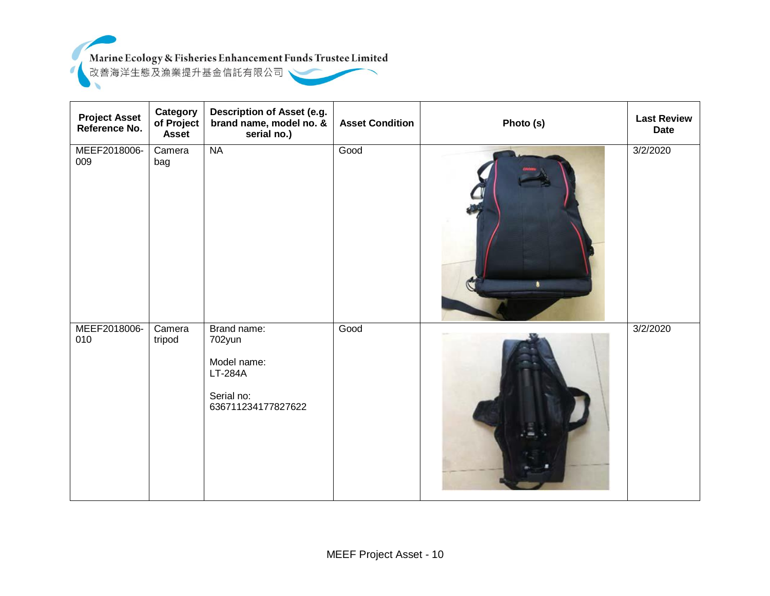

 $\sigma$ 

| <b>Project Asset</b><br>Reference No. | Category<br>of Project<br><b>Asset</b> | Description of Asset (e.g.<br>brand name, model no. &<br>serial no.)                | <b>Asset Condition</b> | Photo (s) | <b>Last Review</b><br><b>Date</b> |
|---------------------------------------|----------------------------------------|-------------------------------------------------------------------------------------|------------------------|-----------|-----------------------------------|
| MEEF2018006-<br>009                   | Camera<br>bag                          | <b>NA</b>                                                                           | Good                   | ٠         | 3/2/2020                          |
| MEEF2018006-<br>010                   | Camera<br>tripod                       | Brand name:<br>702yun<br>Model name:<br>LT-284A<br>Serial no:<br>636711234177827622 | Good                   |           | 3/2/2020                          |